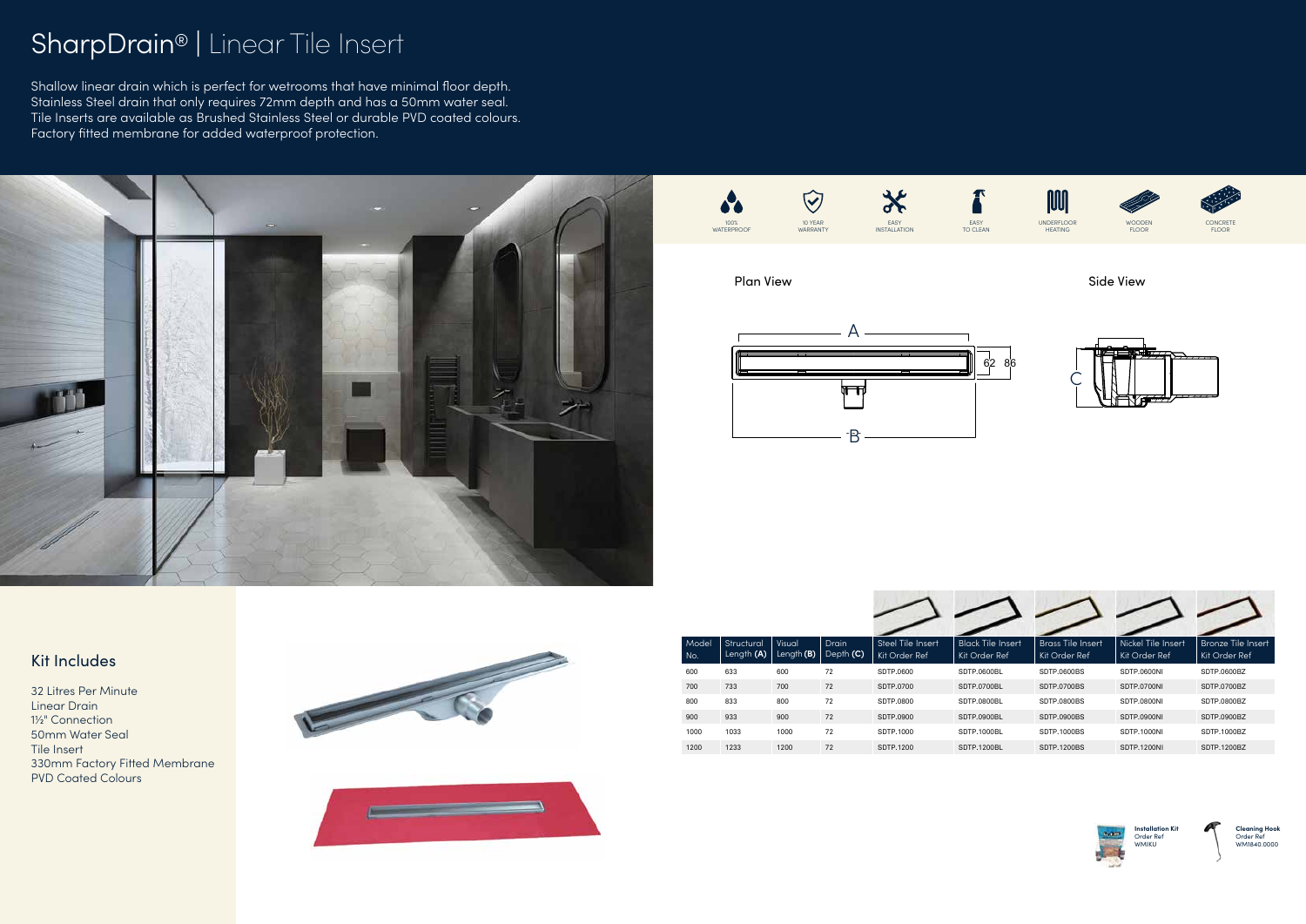## SharpDrain® | Linear Tile Insert

Shallow linear drain which is perfect for wetrooms that have minimal floor depth. Stainless Steel drain that only requires 72mm depth and has a 50mm water seal. Tile Inserts are available as Brushed Stainless Steel or durable PVD coated colours. Factory fitted membrane for added waterproof protection.

### Kit Includes

32 Litres Per Minute Linear Drain 1½" Connection 50mm Water Seal Tile Insert 330mm Factory Fitted Membrane PVD Coated Colours





| Model<br>No. | Structural<br>Length <b>(A)</b> | Visual<br>Length $(B)$ | <b>Drain</b><br>Depth (C) | Steel Tile Insert<br>Kit Order Ref | <b>Black Tile Insert</b><br>Kit Order Ref | <b>Brass Tile Insert</b><br>Kit Order Ref | Nickel Tile Insert<br>Kit Order Ref | <b>Bronze Tile Insert</b><br>Kit Order Ref |
|--------------|---------------------------------|------------------------|---------------------------|------------------------------------|-------------------------------------------|-------------------------------------------|-------------------------------------|--------------------------------------------|
| 600          | 633                             | 600                    | 72                        | SDTP.0600                          | SDTP.0600BL                               | SDTP.0600BS                               | SDTP.0600NI                         | SDTP.0600BZ                                |
| 700          | 733                             | 700                    | 72                        | SDTP.0700                          | SDTP.0700BL                               | <b>SDTP.0700BS</b>                        | SDTP.0700NI                         | SDTP.0700BZ                                |
| 800          | 833                             | 800                    | 72                        | SDTP.0800                          | SDTP.0800BL                               | <b>SDTP.0800BS</b>                        | SDTP.0800NI                         | SDTP.0800BZ                                |
| 900          | 933                             | 900                    | 72                        | SDTP.0900                          | SDTP.0900BL                               | <b>SDTP.0900BS</b>                        | <b>SDTP.0900NI</b>                  | SDTP.0900BZ                                |
| 1000         | 1033                            | 1000                   | 72                        | SDTP.1000                          | <b>SDTP.1000BL</b>                        | <b>SDTP.1000BS</b>                        | <b>SDTP.1000NI</b>                  | SDTP.1000BZ                                |
| 1200         | 1233                            | 1200                   | 72                        | SDTP.1200                          | SDTP.1200BL                               | <b>SDTP.1200BS</b>                        | <b>SDTP.1200NI</b>                  | SDTP.1200BZ                                |





**Installation Kit** Order Ref WMIKU



**Cleaning Hook** Order Ref WM1840.0000







Side View